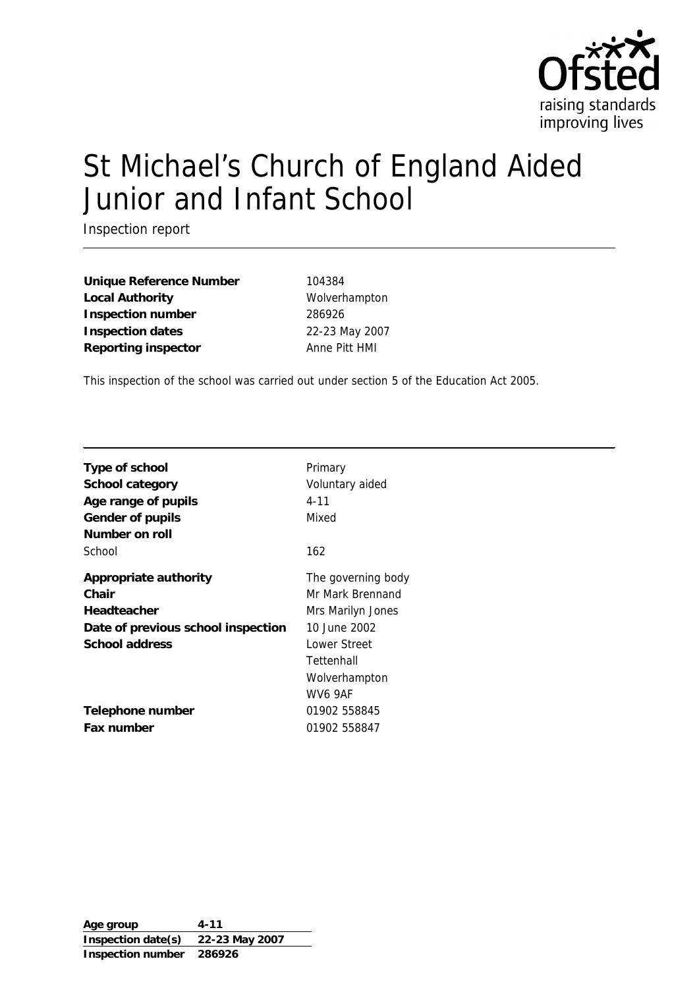

# St Michael's Church of England Aided Junior and Infant School

Inspection report

**Unique Reference Number** 104384 Local Authority **Wolverhampton Inspection number** 286926 **Inspection dates** 22-23 May 2007 **Reporting inspector** Anne Pitt HMI

This inspection of the school was carried out under section 5 of the Education Act 2005.

| Type of school<br>School category<br>Age range of pupils<br>Gender of pupils<br>Number on roll        | Primary<br>Voluntary aided<br>$4 - 11$<br>Mixed                                                                                       |
|-------------------------------------------------------------------------------------------------------|---------------------------------------------------------------------------------------------------------------------------------------|
| School                                                                                                | 162                                                                                                                                   |
| Appropriate authority<br>Chair<br>Headteacher<br>Date of previous school inspection<br>School address | The governing body<br>Mr Mark Brennand<br>Mrs Marilyn Jones<br>10 June 2002<br>Lower Street<br>Tettenhall<br>Wolverhampton<br>WV6 9AF |
| Telephone number<br>Fax number                                                                        | 01902 558845<br>01902 558847                                                                                                          |

**Age group 4-11 Inspection date(s) 22-23 May 2007 Inspection number 286926**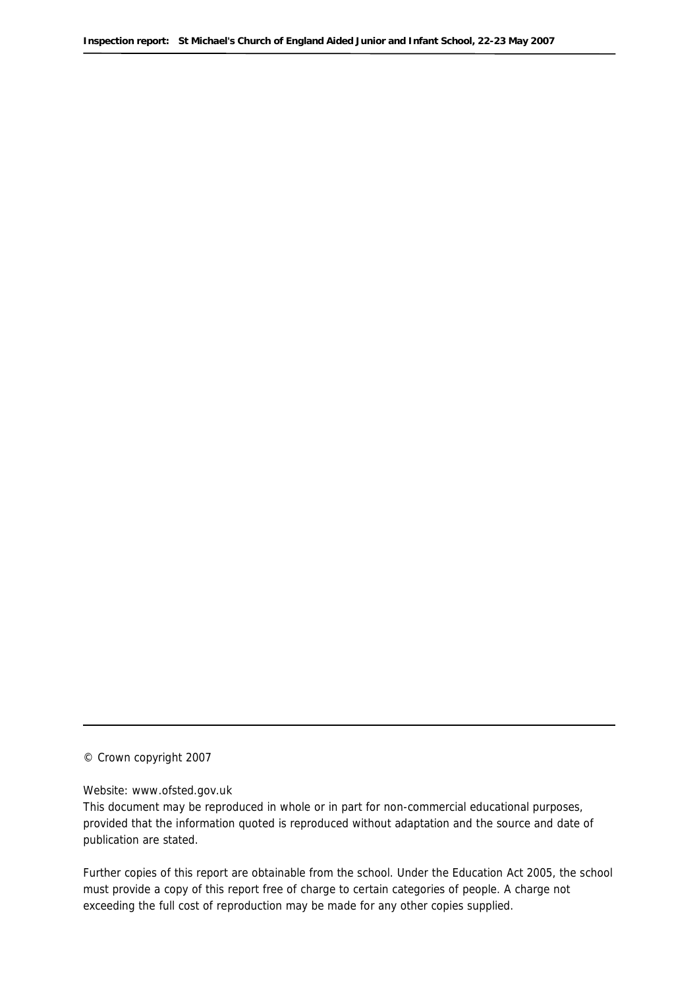© Crown copyright 2007

#### Website: www.ofsted.gov.uk

This document may be reproduced in whole or in part for non-commercial educational purposes, provided that the information quoted is reproduced without adaptation and the source and date of publication are stated.

Further copies of this report are obtainable from the school. Under the Education Act 2005, the school must provide a copy of this report free of charge to certain categories of people. A charge not exceeding the full cost of reproduction may be made for any other copies supplied.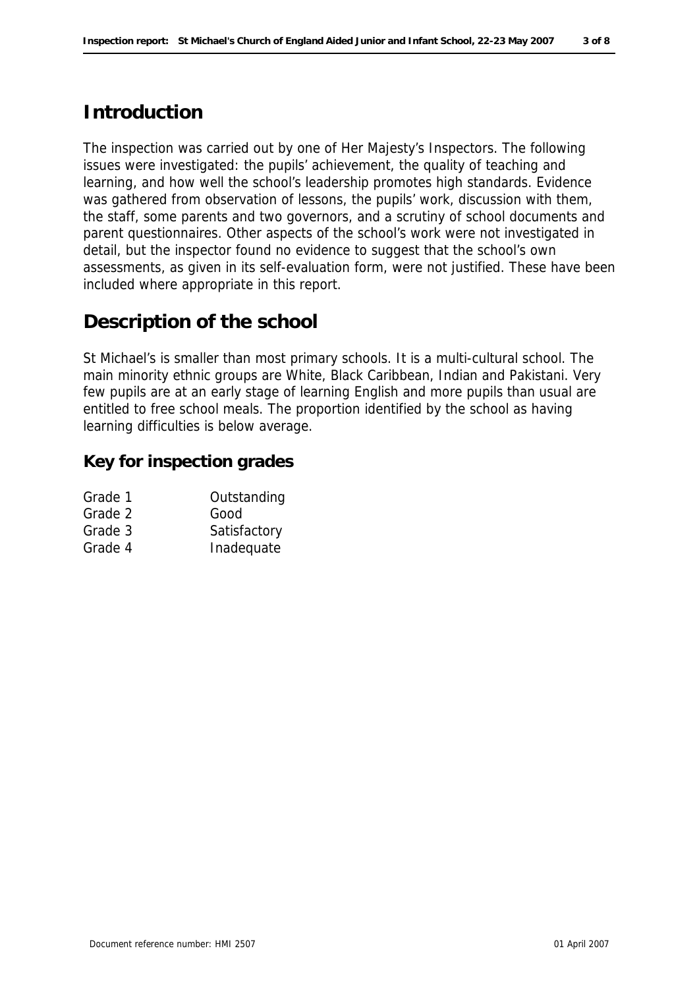# **Introduction**

The inspection was carried out by one of Her Majesty's Inspectors. The following issues were investigated: the pupils' achievement, the quality of teaching and learning, and how well the school's leadership promotes high standards. Evidence was gathered from observation of lessons, the pupils' work, discussion with them, the staff, some parents and two governors, and a scrutiny of school documents and parent questionnaires. Other aspects of the school's work were not investigated in detail, but the inspector found no evidence to suggest that the school's own assessments, as given in its self-evaluation form, were not justified. These have been included where appropriate in this report.

### **Description of the school**

St Michael's is smaller than most primary schools. It is a multi-cultural school. The main minority ethnic groups are White, Black Caribbean, Indian and Pakistani. Very few pupils are at an early stage of learning English and more pupils than usual are entitled to free school meals. The proportion identified by the school as having learning difficulties is below average.

#### **Key for inspection grades**

| Grade 1 | Outstanding  |
|---------|--------------|
| Grade 2 | Good         |
| Grade 3 | Satisfactory |
| Grade 4 | Inadequate   |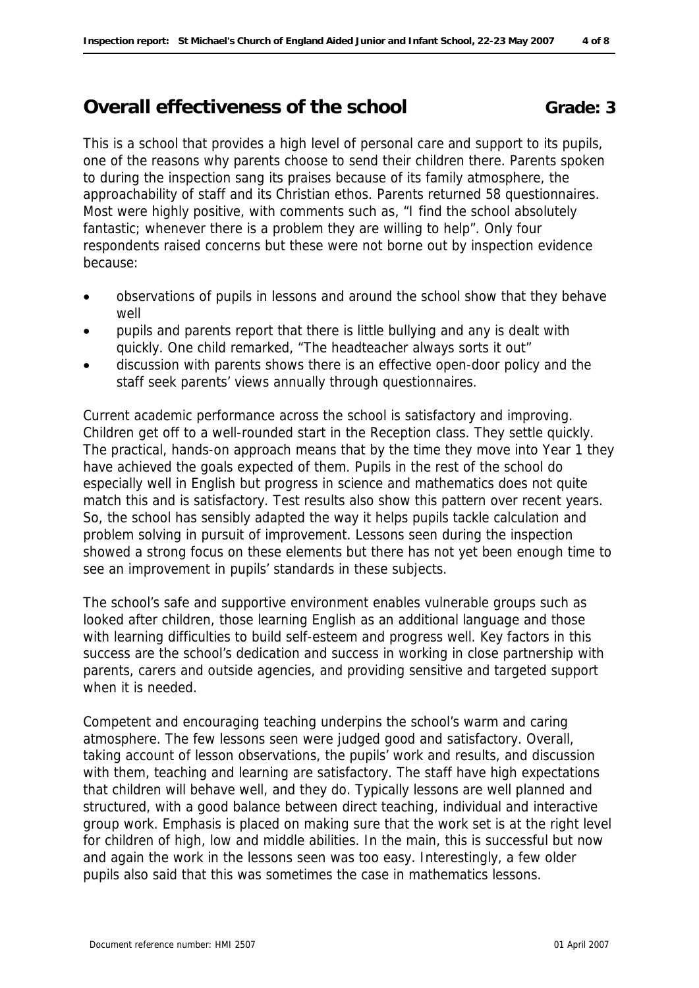### **Overall effectiveness of the school Grade: 3**

This is a school that provides a high level of personal care and support to its pupils, one of the reasons why parents choose to send their children there. Parents spoken to during the inspection sang its praises because of its family atmosphere, the approachability of staff and its Christian ethos. Parents returned 58 questionnaires. Most were highly positive, with comments such as, "I find the school absolutely fantastic; whenever there is a problem they are willing to help". Only four respondents raised concerns but these were not borne out by inspection evidence because:

- observations of pupils in lessons and around the school show that they behave well
- pupils and parents report that there is little bullying and any is dealt with quickly. One child remarked, "The headteacher always sorts it out"
- discussion with parents shows there is an effective open-door policy and the staff seek parents' views annually through questionnaires.

Current academic performance across the school is satisfactory and improving. Children get off to a well-rounded start in the Reception class. They settle quickly. The practical, hands-on approach means that by the time they move into Year 1 they have achieved the goals expected of them. Pupils in the rest of the school do especially well in English but progress in science and mathematics does not quite match this and is satisfactory. Test results also show this pattern over recent years. So, the school has sensibly adapted the way it helps pupils tackle calculation and problem solving in pursuit of improvement. Lessons seen during the inspection showed a strong focus on these elements but there has not yet been enough time to see an improvement in pupils' standards in these subjects.

The school's safe and supportive environment enables vulnerable groups such as looked after children, those learning English as an additional language and those with learning difficulties to build self-esteem and progress well. Key factors in this success are the school's dedication and success in working in close partnership with parents, carers and outside agencies, and providing sensitive and targeted support when it is needed.

Competent and encouraging teaching underpins the school's warm and caring atmosphere. The few lessons seen were judged good and satisfactory. Overall, taking account of lesson observations, the pupils' work and results, and discussion with them, teaching and learning are satisfactory. The staff have high expectations that children will behave well, and they do. Typically lessons are well planned and structured, with a good balance between direct teaching, individual and interactive group work. Emphasis is placed on making sure that the work set is at the right level for children of high, low and middle abilities. In the main, this is successful but now and again the work in the lessons seen was too easy. Interestingly, a few older pupils also said that this was sometimes the case in mathematics lessons.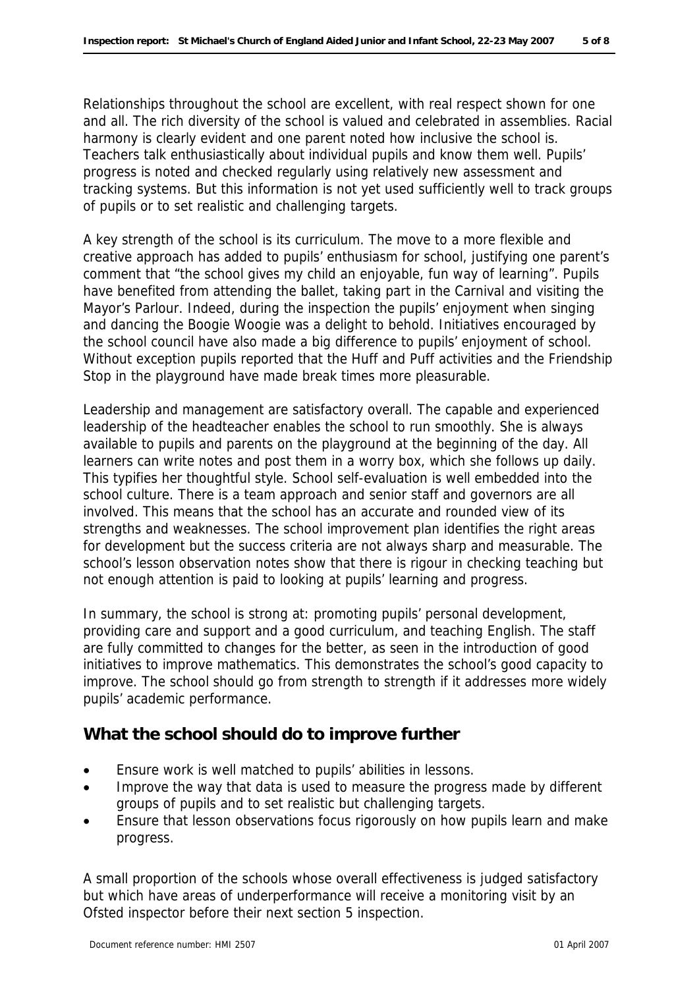Relationships throughout the school are excellent, with real respect shown for one and all. The rich diversity of the school is valued and celebrated in assemblies. Racial harmony is clearly evident and one parent noted how inclusive the school is. Teachers talk enthusiastically about individual pupils and know them well. Pupils' progress is noted and checked regularly using relatively new assessment and tracking systems. But this information is not yet used sufficiently well to track groups of pupils or to set realistic and challenging targets.

A key strength of the school is its curriculum. The move to a more flexible and creative approach has added to pupils' enthusiasm for school, justifying one parent's comment that "the school gives my child an enjoyable, fun way of learning". Pupils have benefited from attending the ballet, taking part in the Carnival and visiting the Mayor's Parlour. Indeed, during the inspection the pupils' enjoyment when singing and dancing the Boogie Woogie was a delight to behold. Initiatives encouraged by the school council have also made a big difference to pupils' enjoyment of school. Without exception pupils reported that the Huff and Puff activities and the Friendship Stop in the playground have made break times more pleasurable.

Leadership and management are satisfactory overall. The capable and experienced leadership of the headteacher enables the school to run smoothly. She is always available to pupils and parents on the playground at the beginning of the day. All learners can write notes and post them in a worry box, which she follows up daily. This typifies her thoughtful style. School self-evaluation is well embedded into the school culture. There is a team approach and senior staff and governors are all involved. This means that the school has an accurate and rounded view of its strengths and weaknesses. The school improvement plan identifies the right areas for development but the success criteria are not always sharp and measurable. The school's lesson observation notes show that there is rigour in checking teaching but not enough attention is paid to looking at pupils' learning and progress.

In summary, the school is strong at: promoting pupils' personal development, providing care and support and a good curriculum, and teaching English. The staff are fully committed to changes for the better, as seen in the introduction of good initiatives to improve mathematics. This demonstrates the school's good capacity to improve. The school should go from strength to strength if it addresses more widely pupils' academic performance.

#### **What the school should do to improve further**

- Ensure work is well matched to pupils' abilities in lessons.
- Improve the way that data is used to measure the progress made by different groups of pupils and to set realistic but challenging targets.
- Ensure that lesson observations focus rigorously on how pupils learn and make progress.

A small proportion of the schools whose overall effectiveness is judged satisfactory but which have areas of underperformance will receive a monitoring visit by an Ofsted inspector before their next section 5 inspection.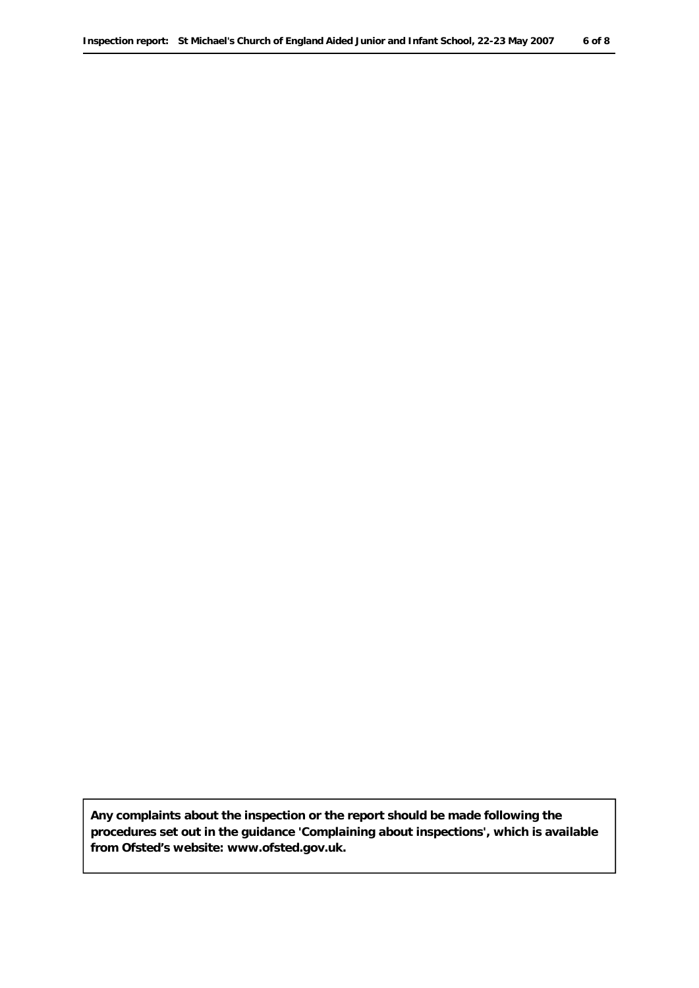**Any complaints about the inspection or the report should be made following the procedures set out in the guidance 'Complaining about inspections', which is available from Ofsted's website: www.ofsted.gov.uk.**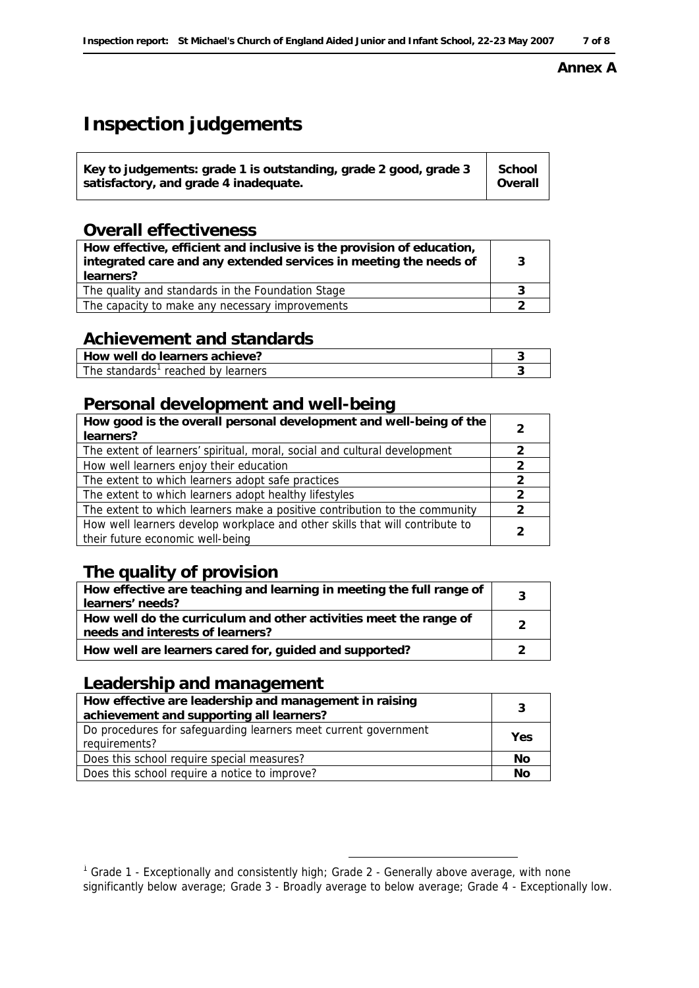#### **Inspection report: St Michael's Church of England Aided Junior and Infant School, 22-23 May 2007 7 of 8**

#### **Annex A**

# **Inspection judgements**

| Key to judgements: grade 1 is outstanding, grade 2 good, grade $3 \mid$ School<br>satisfactory, and grade 4 inadequate. | Overall |
|-------------------------------------------------------------------------------------------------------------------------|---------|
|-------------------------------------------------------------------------------------------------------------------------|---------|

### **Overall effectiveness**

| How effective, efficient and inclusive is the provision of education,<br>integrated care and any extended services in meeting the needs of<br>learners? | -3 |
|---------------------------------------------------------------------------------------------------------------------------------------------------------|----|
| The quality and standards in the Foundation Stage                                                                                                       |    |
| The capacity to make any necessary improvements                                                                                                         |    |
|                                                                                                                                                         |    |

### **Achievement and standards**

| How well do learners achieve?      |  |
|------------------------------------|--|
| The standards' reached by learners |  |

### **Personal development and well-being**

| How good is the overall personal development and well-being of the<br>learners?                                  |               |
|------------------------------------------------------------------------------------------------------------------|---------------|
| The extent of learners' spiritual, moral, social and cultural development                                        | $\mathcal{L}$ |
| How well learners enjoy their education                                                                          | $\mathcal{L}$ |
| The extent to which learners adopt safe practices                                                                | $\mathcal{L}$ |
| The extent to which learners adopt healthy lifestyles                                                            | $\mathcal{L}$ |
| The extent to which learners make a positive contribution to the community                                       | $\mathcal{L}$ |
| How well learners develop workplace and other skills that will contribute to<br>their future economic well-being | $\mathcal{P}$ |

## **The quality of provision**

| How effective are teaching and learning in meeting the full range of<br>learners' needs?              |  |
|-------------------------------------------------------------------------------------------------------|--|
| How well do the curriculum and other activities meet the range of<br>needs and interests of learners? |  |
| How well are learners cared for, guided and supported?                                                |  |
|                                                                                                       |  |

### **Leadership and management**

| How effective are leadership and management in raising<br>achievement and supporting all learners? | -3  |
|----------------------------------------------------------------------------------------------------|-----|
| Do procedures for safeguarding learners meet current government<br>requirements?                   | Yes |
| Does this school require special measures?                                                         | No  |
| Does this school require a notice to improve?                                                      | No  |
|                                                                                                    |     |

<sup>1&</sup>lt;br>The same of the same and the same and the same of the same of the same af the same of the same average, with n<br>The same of the Senerally and consistently high; Grade 2 - Generally above average, with none significantly below average; Grade 3 - Broadly average to below average; Grade 4 - Exceptionally low.